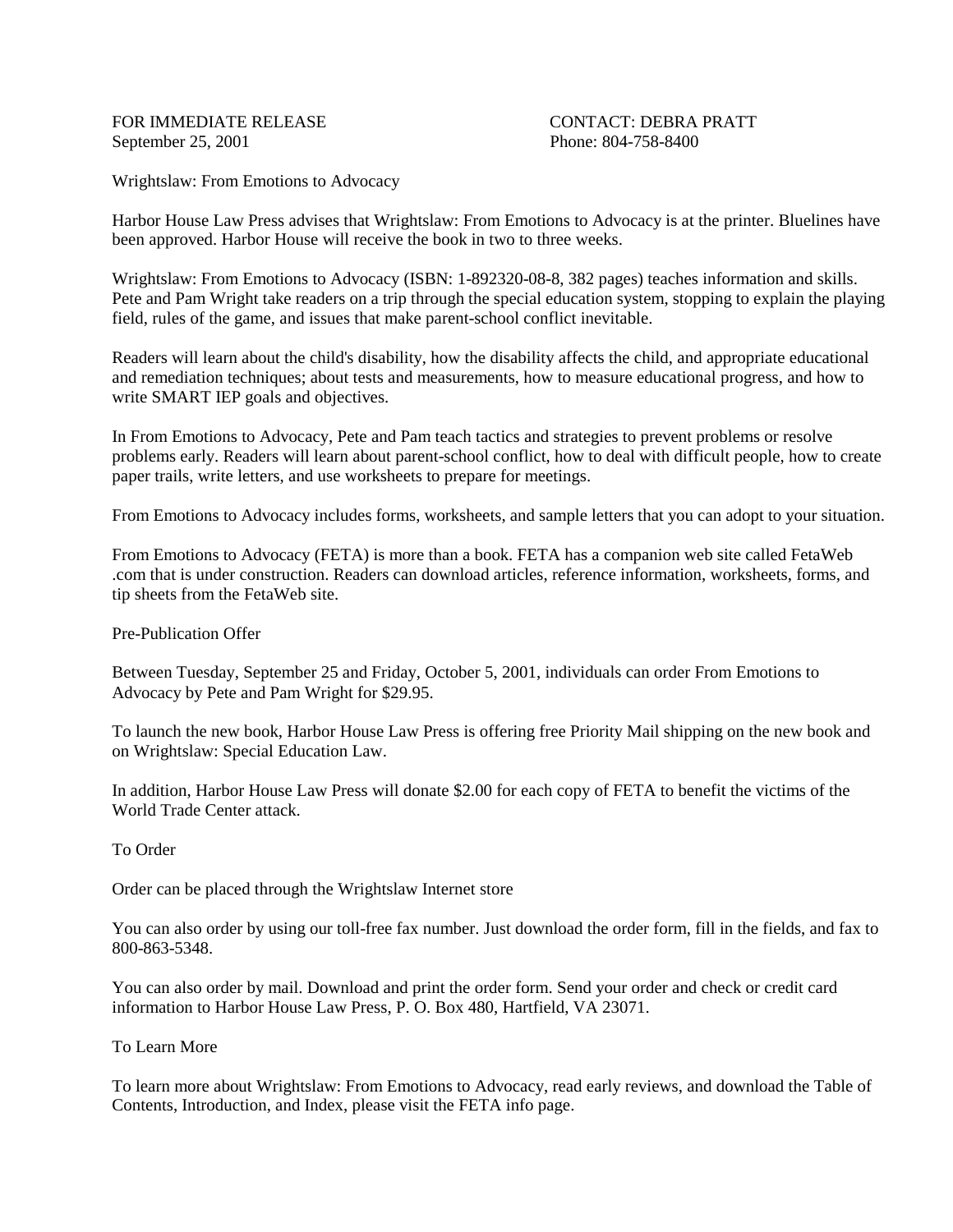FOR IMMEDIATE RELEASE CONTACT: DEBRA PRATT September 25, 2001 Phone: 804-758-8400

Wrightslaw: From Emotions to Advocacy

Harbor House Law Press advises that Wrightslaw: From Emotions to Advocacy is at the printer. Bluelines have been approved. Harbor House will receive the book in two to three weeks.

Wrightslaw: From Emotions to Advocacy (ISBN: 1-892320-08-8, 382 pages) teaches information and skills. Pete and Pam Wright take readers on a trip through the special education system, stopping to explain the playing field, rules of the game, and issues that make parent-school conflict inevitable.

Readers will learn about the child's disability, how the disability affects the child, and appropriate educational and remediation techniques; about tests and measurements, how to measure educational progress, and how to write SMART IEP goals and objectives.

In From Emotions to Advocacy, Pete and Pam teach tactics and strategies to prevent problems or resolve problems early. Readers will learn about parent-school conflict, how to deal with difficult people, how to create paper trails, write letters, and use worksheets to prepare for meetings.

From Emotions to Advocacy includes forms, worksheets, and sample letters that you can adopt to your situation.

From Emotions to Advocacy (FETA) is more than a book. FETA has a companion web site called FetaWeb .com that is under construction. Readers can download articles, reference information, worksheets, forms, and tip sheets from the FetaWeb site.

Pre-Publication Offer

Between Tuesday, September 25 and Friday, October 5, 2001, individuals can order From Emotions to Advocacy by Pete and Pam Wright for \$29.95.

To launch the new book, Harbor House Law Press is offering free Priority Mail shipping on the new book and on Wrightslaw: Special Education Law.

In addition, Harbor House Law Press will donate \$2.00 for each copy of FETA to benefit the victims of the World Trade Center attack.

To Order

Order can be placed through the Wrightslaw Internet store

You can also order by using our toll-free fax number. Just download the order form, fill in the fields, and fax to 800-863-5348.

You can also order by mail. Download and print the order form. Send your order and check or credit card information to Harbor House Law Press, P. O. Box 480, Hartfield, VA 23071.

To Learn More

To learn more about Wrightslaw: From Emotions to Advocacy, read early reviews, and download the Table of Contents, Introduction, and Index, please visit the FETA info page.